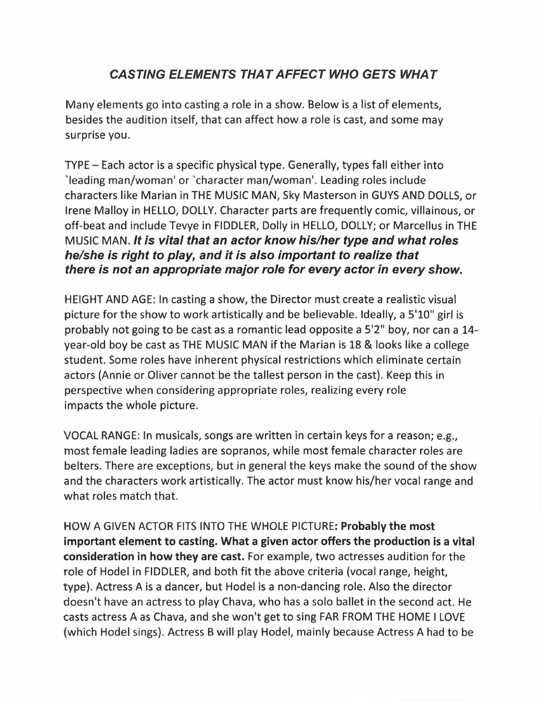## CASTING ELEMENTS THAT AFFECT WHO GETS WHAT

Many elements go into casting a role in a show. Below is a list of elements, besides the audition itself, that can affect how a role is cast, and some may surprise you.

TYPE – Each actor is a specific physical type. Generally, types fall either into 'leading man/woman' or 'character man/woman'. Leading roles include characters like Marian in THE MUSIC MAN, Sky Masterson in GUYS AND DOLLS, or Irene Malloy in HELLO, DOLLY. Character parts are frequently comic, villainous, or off-beat and include Tevye in FIDDLER, Dolly in HELLO, DOLLY; or Marcellus in THE MUSIC MAN. It is vital that an actor know his/her type and what roles he/she is right to play, and it is also important to realize that there is not an appropriate major role for every actor in every show.

HEIGHT AND AGE: In casting a show, the Director must create a realistic visual picture for the show to work artistically and be believable. Ideally, a 5'10" girl is probably not going to be cast as a romantic lead opposite a 5'2" boy, nor cana 14 year-old boy be cast as THE MUSIC MAN if the Marian is 18 & looks like a college student. Some roles have inherent physical restrictions which eliminate certain actors (Annie or Oliver cannot be the tallest person in the cast). Keep this in perspective when considering appropriate roles, realizing every role impacts the whole picture.

VOCAL RANGE: In musicals, songs are written in certain keys for <sup>a</sup> reason; e.g., most female leading ladies are sopranos, while most female character roles are belters. There are exceptions, but in general the keys make the sound of the show and the characters work artistically. The actor must know his/her vocal range and what roles match that.

HOW A GIVEN ACTOR FITS INTO THE WHOLE PICTURE: Probably the most important element to casting. What a given actor offers the production is a vital consideration in how they are cast. For example, two actresses audition for the role of Hodel in FIDDLER, and both fit the above criteria (vocal range, height, type). Actress A is a dancer, but Hodel is a non-dancing role. Also the director<br>doesn't have an actress to play Chava, who has a solo ballet in the second act. He doesn't have an actress to play Chava, who has a solo ballet in the second act. He<br>casts actress A as Chava, and she won't get to sing FAR FROM THE HOME I LOVE (which Hodel sings). Actress B will play Hodel, mainly because Actress A had to be